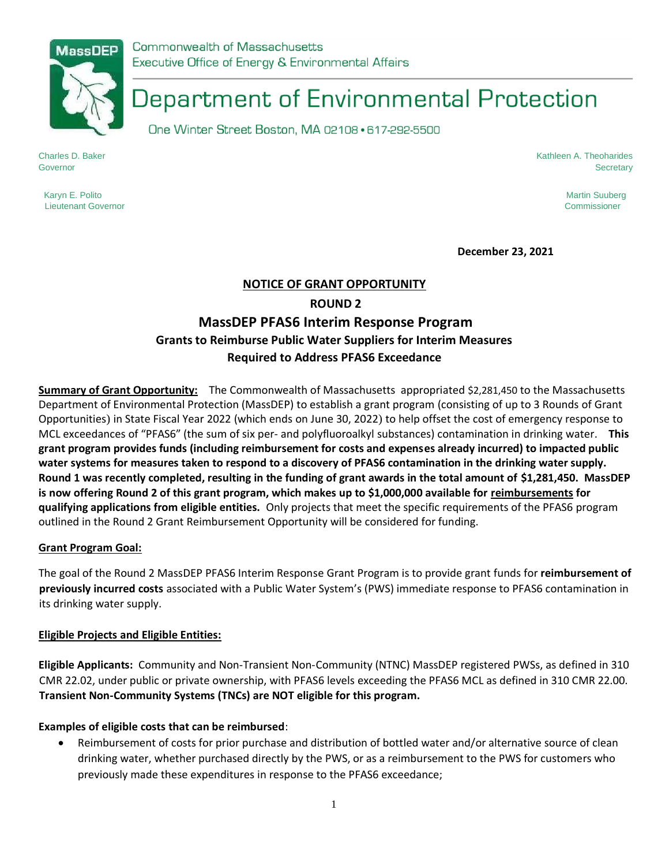Commonwealth of Massachusetts Executive Office of Energy & Environmental Affairs

# Department of Environmental Protection

One Winter Street Boston, MA 02108 · 617-292-5500

Karyn E. Polito Martin Suuberg (1999) and the Superior Superior Superior Superior Superior Martin Suuberg (199

Charles D. Baker Kathleen A. Theoharides Governor Secretary

Lieutenant Governor Commissioner

**December 23, 2021** 

# **NOTICE OF GRANT OPPORTUNITY ROUND 2 MassDEP PFAS6 Interim Response Program Grants to Reimburse Public Water Suppliers for Interim Measures Required to Address PFAS6 Exceedance**

**Summary of Grant Opportunity:** The Commonwealth of Massachusetts appropriated \$2,281,450 to the Massachusetts Department of Environmental Protection (MassDEP) to establish a grant program (consisting of up to 3 Rounds of Grant Opportunities) in State Fiscal Year 2022 (which ends on June 30, 2022) to help offset the cost of emergency response to MCL exceedances of "PFAS6" (the sum of six per- and polyfluoroalkyl substances) contamination in drinking water. **This grant program provides funds (including reimbursement for costs and expenses already incurred) to impacted public water systems for measures taken to respond to a discovery of PFAS6 contamination in the drinking water supply. Round 1 was recently completed, resulting in the funding of grant awards in the total amount of \$1,281,450. MassDEP is now offering Round 2 of this grant program, which makes up to \$1,000,000 available for reimbursements for qualifying applications from eligible entities.** Only projects that meet the specific requirements of the PFAS6 program outlined in the Round 2 Grant Reimbursement Opportunity will be considered for funding.

#### **Grant Program Goal:**

The goal of the Round 2 MassDEP PFAS6 Interim Response Grant Program is to provide grant funds for **reimbursement of previously incurred costs** associated with a Public Water System's (PWS) immediate response to PFAS6 contamination in its drinking water supply.

#### **Eligible Projects and Eligible Entities:**

**Eligible Applicants:** Community and Non-Transient Non-Community (NTNC) MassDEP registered PWSs, as defined in 310 CMR 22.02, under public or private ownership, with PFAS6 levels exceeding the PFAS6 MCL as defined in 310 CMR 22.00. **Transient Non-Community Systems (TNCs) are NOT eligible for this program.**

# **Examples of eligible costs that can be reimbursed**:

• Reimbursement of costs for prior purchase and distribution of bottled water and/or alternative source of clean drinking water, whether purchased directly by the PWS, or as a reimbursement to the PWS for customers who previously made these expenditures in response to the PFAS6 exceedance;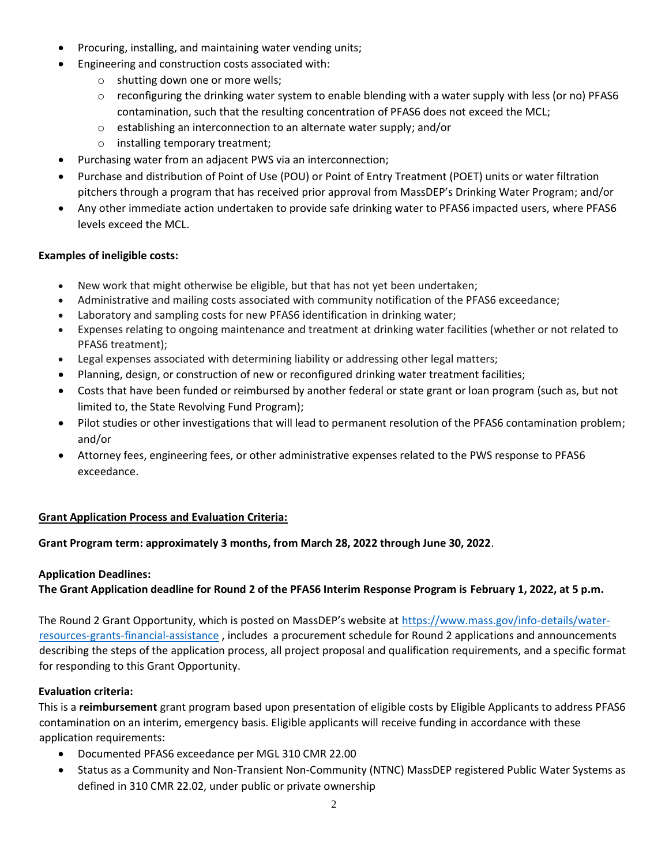- Procuring, installing, and maintaining water vending units;
- Engineering and construction costs associated with:
	- o shutting down one or more wells;
	- $\circ$  reconfiguring the drinking water system to enable blending with a water supply with less (or no) PFAS6 contamination, such that the resulting concentration of PFAS6 does not exceed the MCL;
	- o establishing an interconnection to an alternate water supply; and/or
	- o installing temporary treatment;
- Purchasing water from an adjacent PWS via an interconnection;
- Purchase and distribution of Point of Use (POU) or Point of Entry Treatment (POET) units or water filtration pitchers through a program that has received prior approval from MassDEP's Drinking Water Program; and/or
- Any other immediate action undertaken to provide safe drinking water to PFAS6 impacted users, where PFAS6 levels exceed the MCL.

# **Examples of ineligible costs:**

- New work that might otherwise be eligible, but that has not yet been undertaken;
- Administrative and mailing costs associated with community notification of the PFAS6 exceedance;
- Laboratory and sampling costs for new PFAS6 identification in drinking water;
- Expenses relating to ongoing maintenance and treatment at drinking water facilities (whether or not related to PFAS6 treatment);
- Legal expenses associated with determining liability or addressing other legal matters;
- Planning, design, or construction of new or reconfigured drinking water treatment facilities;
- Costs that have been funded or reimbursed by another federal or state grant or loan program (such as, but not limited to, the State Revolving Fund Program);
- Pilot studies or other investigations that will lead to permanent resolution of the PFAS6 contamination problem; and/or
- Attorney fees, engineering fees, or other administrative expenses related to the PWS response to PFAS6 exceedance.

# **Grant Application Process and Evaluation Criteria:**

# **Grant Program term: approximately 3 months, from March 28, 2022 through June 30, 2022**.

#### **Application Deadlines:**

**The Grant Application deadline for Round 2 of the PFAS6 Interim Response Program is February 1, 2022, at 5 p.m.** 

The Round 2 Grant Opportunity, which is posted on MassDEP's website at [https://www.mass.gov/info-details/water](https://www.mass.gov/info-details/water-resources-grants-financial-assistance)[resources-grants-financial-assistance](https://www.mass.gov/info-details/water-resources-grants-financial-assistance) , includes a procurement schedule for Round 2 applications and announcements describing the steps of the application process, all project proposal and qualification requirements, and a specific format for responding to this Grant Opportunity.

#### **Evaluation criteria:**

This is a **reimbursement** grant program based upon presentation of eligible costs by Eligible Applicants to address PFAS6 contamination on an interim, emergency basis. Eligible applicants will receive funding in accordance with these application requirements:

- Documented PFAS6 exceedance per MGL 310 CMR 22.00
- Status as a Community and Non-Transient Non-Community (NTNC) MassDEP registered Public Water Systems as defined in 310 CMR 22.02, under public or private ownership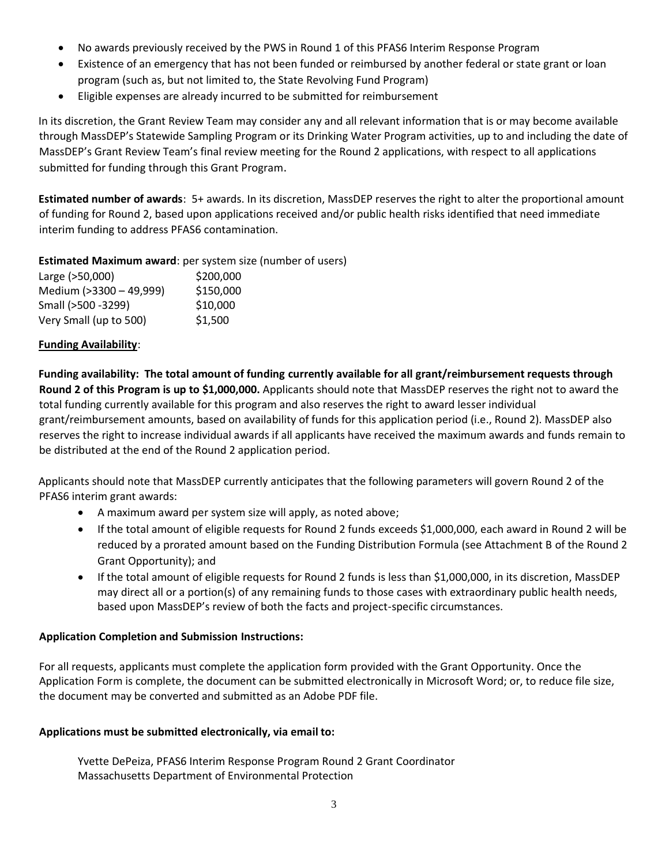- No awards previously received by the PWS in Round 1 of this PFAS6 Interim Response Program
- Existence of an emergency that has not been funded or reimbursed by another federal or state grant or loan program (such as, but not limited to, the State Revolving Fund Program)
- Eligible expenses are already incurred to be submitted for reimbursement

In its discretion, the Grant Review Team may consider any and all relevant information that is or may become available through MassDEP's Statewide Sampling Program or its Drinking Water Program activities, up to and including the date of MassDEP's Grant Review Team's final review meeting for the Round 2 applications, with respect to all applications submitted for funding through this Grant Program.

**Estimated number of awards**: 5+ awards. In its discretion, MassDEP reserves the right to alter the proportional amount of funding for Round 2, based upon applications received and/or public health risks identified that need immediate interim funding to address PFAS6 contamination.

#### **Estimated Maximum award**: per system size (number of users)

| Large (>50,000)         | \$200,000 |
|-------------------------|-----------|
| Medium (>3300 - 49,999) | \$150,000 |
| Small (>500 -3299)      | \$10,000  |
| Very Small (up to 500)  | \$1.500   |

#### **Funding Availability**:

**Funding availability: The total amount of funding currently available for all grant/reimbursement requests through Round 2 of this Program is up to \$1,000,000.** Applicants should note that MassDEP reserves the right not to award the total funding currently available for this program and also reserves the right to award lesser individual grant/reimbursement amounts, based on availability of funds for this application period (i.e., Round 2). MassDEP also reserves the right to increase individual awards if all applicants have received the maximum awards and funds remain to be distributed at the end of the Round 2 application period.

Applicants should note that MassDEP currently anticipates that the following parameters will govern Round 2 of the PFAS6 interim grant awards:

- A maximum award per system size will apply, as noted above;
- If the total amount of eligible requests for Round 2 funds exceeds \$1,000,000, each award in Round 2 will be reduced by a prorated amount based on the Funding Distribution Formula (see Attachment B of the Round 2 Grant Opportunity); and
- If the total amount of eligible requests for Round 2 funds is less than \$1,000,000, in its discretion, MassDEP may direct all or a portion(s) of any remaining funds to those cases with extraordinary public health needs, based upon MassDEP's review of both the facts and project-specific circumstances.

# **Application Completion and Submission Instructions:**

For all requests, applicants must complete the application form provided with the Grant Opportunity. Once the Application Form is complete, the document can be submitted electronically in Microsoft Word; or, to reduce file size, the document may be converted and submitted as an Adobe PDF file.

#### **Applications must be submitted electronically, via email to:**

Yvette DePeiza, PFAS6 Interim Response Program Round 2 Grant Coordinator Massachusetts Department of Environmental Protection